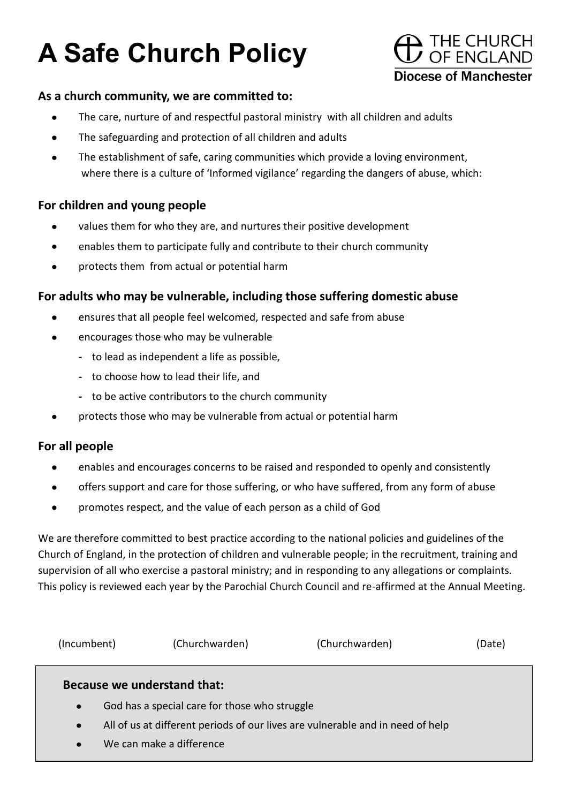# **A Safe Church Policy**



#### **As a church community, we are committed to:**

- $\bullet$ The care, nurture of and respectful pastoral ministry with all children and adults
- The safeguarding and protection of all children and adults  $\bullet$
- The establishment of safe, caring communities which provide a loving environment,  $\bullet$ where there is a culture of 'Informed vigilance' regarding the dangers of abuse, which:

# **For children and young people**

- values them for who they are, and nurtures their positive development
- enables them to participate fully and contribute to their church community  $\bullet$
- protects them from actual or potential harm  $\bullet$

#### **For adults who may be vulnerable, including those suffering domestic abuse**

- ensures that all people feel welcomed, respected and safe from abuse  $\bullet$
- $\bullet$ encourages those who may be vulnerable
	- **-** to lead as independent a life as possible,
	- **-** to choose how to lead their life, and
	- **-** to be active contributors to the church community
- protects those who may be vulnerable from actual or potential harm  $\bullet$

#### **For all people**

- enables and encourages concerns to be raised and responded to openly and consistently  $\bullet$
- offers support and care for those suffering, or who have suffered, from any form of abuse  $\bullet$
- promotes respect, and the value of each person as a child of God  $\bullet$

We are therefore committed to best practice according to the national policies and guidelines of the Church of England, in the protection of children and vulnerable people; in the recruitment, training and supervision of all who exercise a pastoral ministry; and in responding to any allegations or complaints. This policy is reviewed each year by the Parochial Church Council and re-affirmed at the Annual Meeting.

| (Incumbent)                         | (Churchwarden)                                                                                                                                                                             | (Churchwarden) | (Date) |
|-------------------------------------|--------------------------------------------------------------------------------------------------------------------------------------------------------------------------------------------|----------------|--------|
| $\bullet$<br>$\bullet$<br>$\bullet$ | Because we understand that:<br>God has a special care for those who struggle<br>All of us at different periods of our lives are vulnerable and in need of help<br>We can make a difference |                |        |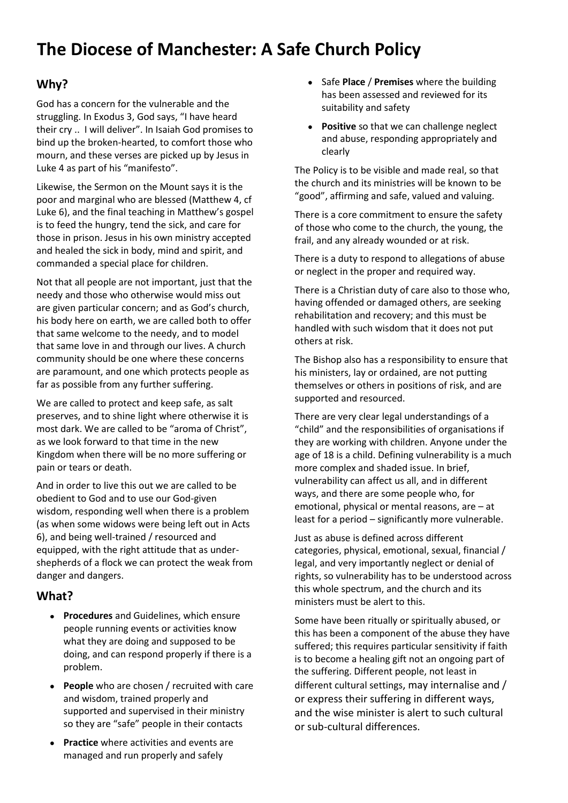# **The Diocese of Manchester: A Safe Church Policy**

## **Why?**

God has a concern for the vulnerable and the struggling. In Exodus 3, God says, "I have heard their cry .. I will deliver". In Isaiah God promises to bind up the broken-hearted, to comfort those who mourn, and these verses are picked up by Jesus in Luke 4 as part of his "manifesto".

Likewise, the Sermon on the Mount says it is the poor and marginal who are blessed (Matthew 4, cf Luke 6), and the final teaching in Matthew's gospel is to feed the hungry, tend the sick, and care for those in prison. Jesus in his own ministry accepted and healed the sick in body, mind and spirit, and commanded a special place for children.

Not that all people are not important, just that the needy and those who otherwise would miss out are given particular concern; and as God's church, his body here on earth, we are called both to offer that same welcome to the needy, and to model that same love in and through our lives. A church community should be one where these concerns are paramount, and one which protects people as far as possible from any further suffering.

We are called to protect and keep safe, as salt preserves, and to shine light where otherwise it is most dark. We are called to be "aroma of Christ", as we look forward to that time in the new Kingdom when there will be no more suffering or pain or tears or death.

And in order to live this out we are called to be obedient to God and to use our God-given wisdom, responding well when there is a problem (as when some widows were being left out in Acts 6), and being well-trained / resourced and equipped, with the right attitude that as undershepherds of a flock we can protect the weak from danger and dangers.

#### **What?**

- **Procedures** and Guidelines, which ensure people running events or activities know what they are doing and supposed to be doing, and can respond properly if there is a problem.
- **People** who are chosen / recruited with care and wisdom, trained properly and supported and supervised in their ministry so they are "safe" people in their contacts
- **Practice** where activities and events are  $\bullet$ managed and run properly and safely
- Safe **Place** / **Premises** where the building has been assessed and reviewed for its suitability and safety
- **Positive** so that we can challenge neglect and abuse, responding appropriately and clearly

The Policy is to be visible and made real, so that the church and its ministries will be known to be "good", affirming and safe, valued and valuing.

There is a core commitment to ensure the safety of those who come to the church, the young, the frail, and any already wounded or at risk.

There is a duty to respond to allegations of abuse or neglect in the proper and required way.

There is a Christian duty of care also to those who, having offended or damaged others, are seeking rehabilitation and recovery; and this must be handled with such wisdom that it does not put others at risk.

The Bishop also has a responsibility to ensure that his ministers, lay or ordained, are not putting themselves or others in positions of risk, and are supported and resourced.

There are very clear legal understandings of a "child" and the responsibilities of organisations if they are working with children. Anyone under the age of 18 is a child. Defining vulnerability is a much more complex and shaded issue. In brief, vulnerability can affect us all, and in different ways, and there are some people who, for emotional, physical or mental reasons, are – at least for a period – significantly more vulnerable.

Just as abuse is defined across different categories, physical, emotional, sexual, financial / legal, and very importantly neglect or denial of rights, so vulnerability has to be understood across this whole spectrum, and the church and its ministers must be alert to this.

Some have been ritually or spiritually abused, or this has been a component of the abuse they have suffered; this requires particular sensitivity if faith is to become a healing gift not an ongoing part of the suffering. Different people, not least in different cultural settings, may internalise and / or express their suffering in different ways, and the wise minister is alert to such cultural or sub-cultural differences.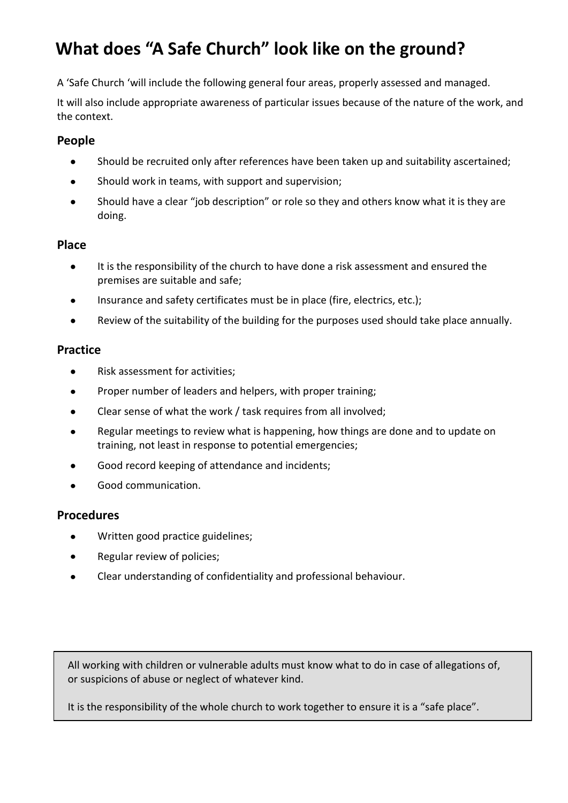# **What does "A Safe Church" look like on the ground?**

A 'Safe Church 'will include the following general four areas, properly assessed and managed.

It will also include appropriate awareness of particular issues because of the nature of the work, and the context.

#### **People**

- $\bullet$ Should be recruited only after references have been taken up and suitability ascertained;
- $\bullet$ Should work in teams, with support and supervision;
- Should have a clear "job description" or role so they and others know what it is they are  $\bullet$ doing.

#### **Place**

- It is the responsibility of the church to have done a risk assessment and ensured the  $\bullet$ premises are suitable and safe;
- Insurance and safety certificates must be in place (fire, electrics, etc.);
- Review of the suitability of the building for the purposes used should take place annually.  $\bullet$

#### **Practice**

- Risk assessment for activities;  $\bullet$
- Proper number of leaders and helpers, with proper training;  $\bullet$
- Clear sense of what the work / task requires from all involved;  $\bullet$
- Regular meetings to review what is happening, how things are done and to update on training, not least in response to potential emergencies;
- Good record keeping of attendance and incidents;  $\bullet$
- Good communication.

## **Procedures**

- Written good practice guidelines;  $\bullet$
- Regular review of policies;
- Clear understanding of confidentiality and professional behaviour.  $\bullet$

All working with children or vulnerable adults must know what to do in case of allegations of, or suspicions of abuse or neglect of whatever kind.

It is the responsibility of the whole church to work together to ensure it is a "safe place".